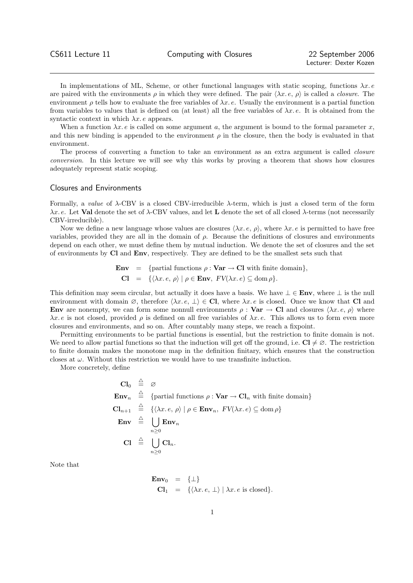In implementations of ML, Scheme, or other functional languages with static scoping, functions  $\lambda x. e$ are paired with the environments  $\rho$  in which they were defined. The pair  $\langle \lambda x. e, \rho \rangle$  is called a *closure*. The environment  $\rho$  tells how to evaluate the free variables of  $\lambda x$ . e. Usually the environment is a partial function from variables to values that is defined on (at least) all the free variables of  $\lambda x. e$ . It is obtained from the syntactic context in which  $\lambda x$ . e appears.

When a function  $\lambda x. e$  is called on some argument a, the argument is bound to the formal parameter x, and this new binding is appended to the environment  $\rho$  in the closure, then the body is evaluated in that environment.

The process of converting a function to take an environment as an extra argument is called closure conversion. In this lecture we will see why this works by proving a theorem that shows how closures adequately represent static scoping.

## Closures and Environments

Formally, a value of λ-CBV is a closed CBV-irreducible λ-term, which is just a closed term of the form  $\lambda x. e$ . Let **Val** denote the set of  $\lambda$ -CBV values, and let **L** denote the set of all closed  $\lambda$ -terms (not necessarily CBV-irreducible).

Now we define a new language whose values are closures  $\langle \lambda x. e, \rho \rangle$ , where  $\lambda x. e$  is permitted to have free variables, provided they are all in the domain of  $\rho$ . Because the definitions of closures and environments depend on each other, we must define them by mutual induction. We denote the set of closures and the set of environments by Cl and Env, respectively. They are defined to be the smallest sets such that

> **Env** = {partial functions  $\rho : \textbf{Var} \to \textbf{Cl}$  with finite domain},  $\mathbf{Cl} = \{ \langle \lambda x. e, \rho \rangle \mid \rho \in \mathbf{Env}, \, FV(\lambda x. e) \subseteq \mathrm{dom} \, \rho \}.$

This definition may seem circular, but actually it does have a basis. We have  $\bot \in \text{Env}$ , where  $\bot$  is the null environment with domain  $\emptyset$ , therefore  $\langle \lambda x. e, \perp \rangle \in \mathbf{Cl}$ , where  $\lambda x. e$  is closed. Once we know that Cl and Env are nonempty, we can form some nonnull environments  $\rho : \textbf{Var} \to \textbf{Cl}$  and closures  $\langle \lambda x. e, \rho \rangle$  where  $\lambda x.\,e$  is not closed, provided  $\rho$  is defined on all free variables of  $\lambda x.\,e$ . This allows us to form even more closures and environments, and so on. After countably many steps, we reach a fixpoint.

Permitting environments to be partial functions is essential, but the restriction to finite domain is not. We need to allow partial functions so that the induction will get off the ground, i.e.  $\mathbf{Cl} \neq \emptyset$ . The restriction to finite domain makes the monotone map in the definition finitary, which ensures that the construction closes at  $\omega$ . Without this restriction we would have to use transfinite induction.

More concretely, define

$$
\mathbf{Cl}_0 \stackrel{\triangle}{=} \varnothing
$$
\n
$$
\mathbf{Env}_n \stackrel{\triangle}{=} \{partial \ \text{Partial functions } \rho : \mathbf{Var} \to \mathbf{Cl}_n \text{ with finite domain} \}
$$
\n
$$
\mathbf{Cl}_{n+1} \stackrel{\triangle}{=} \{ \langle \lambda x. e, \rho \rangle \mid \rho \in \mathbf{Env}_n, \ FV(\lambda x. e) \subseteq \text{dom } \rho \}
$$
\n
$$
\mathbf{Env} \stackrel{\triangle}{=} \bigcup_{n \geq 0} \mathbf{Env}_n
$$
\n
$$
\mathbf{Cl} \stackrel{\triangle}{=} \bigcup_{n \geq 0} \mathbf{Cl}_n.
$$

Note that

$$
\begin{array}{rcl} \mathbf{Env}_0 & = & \{\bot\} \\ \mathbf{Cl}_1 & = & \{\langle \lambda x. e, \bot \rangle \mid \lambda x. e \text{ is closed}\}. \end{array}
$$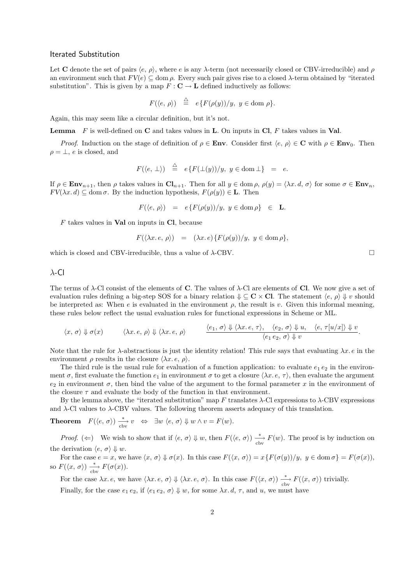## Iterated Substitution

Let C denote the set of pairs  $\langle e, \rho \rangle$ , where e is any  $\lambda$ -term (not necessarily closed or CBV-irreducible) and  $\rho$ an environment such that  $FV(e) \subseteq \text{dom }\rho$ . Every such pair gives rise to a closed  $\lambda$ -term obtained by "iterated substitution". This is given by a map  $F: \mathbf{C} \to \mathbf{L}$  defined inductively as follows:

$$
F(\langle e, \rho \rangle) \stackrel{\triangle}{=} e \{ F(\rho(y))/y, y \in \text{dom } \rho \}.
$$

Again, this may seem like a circular definition, but it's not.

**Lemma** F is well-defined on C and takes values in L. On inputs in Cl, F takes values in Val.

*Proof.* Induction on the stage of definition of  $\rho \in \mathbf{Env}$ . Consider first  $\langle e, \rho \rangle \in \mathbf{C}$  with  $\rho \in \mathbf{Env}_0$ . Then  $\rho = \perp, e$  is closed, and

$$
F(\langle e, \perp \rangle) \stackrel{\triangle}{=} e\{F(\perp(y))/y, y \in \text{dom}\perp\} = e.
$$

If  $\rho \in \mathbf{Env}_{n+1}$ , then  $\rho$  takes values in  $\mathbf{Cl}_{n+1}$ . Then for all  $y \in \text{dom } \rho$ ,  $\rho(y) = \langle \lambda x. d, \sigma \rangle$  for some  $\sigma \in \mathbf{Env}_n$ ,  $FV(\lambda x. d) \subseteq \text{dom }\sigma$ . By the induction hypothesis,  $F(\rho(y)) \in \mathbf{L}$ . Then

$$
F(\langle e, \rho \rangle) = e\{F(\rho(y))/y, y \in \text{dom}\,\rho\} \in \mathbf{L}.
$$

 $F$  takes values in **Val** on inputs in **Cl**, because

$$
F(\langle \lambda x. e, \rho \rangle) = (\lambda x. e) \{ F(\rho(y)) / y, y \in \text{dom } \rho \},
$$

which is closed and CBV-irreducible, thus a value of  $\lambda$ -CBV.

λ-Cl

The terms of  $\lambda$ -Cl consist of the elements of **C**. The values of  $\lambda$ -Cl are elements of **Cl**. We now give a set of evaluation rules defining a big-step SOS for a binary relation  $\psi \subseteq \mathbf{C} \times \mathbf{Cl}$ . The statement  $\langle e, \rho \rangle \psi$  v should be interpreted as: When e is evaluated in the environment  $\rho$ , the result is v. Given this informal meaning, these rules below reflect the usual evaluation rules for functional expressions in Scheme or ML.

$$
\langle x, \sigma \rangle \Downarrow \sigma(x) \qquad \langle \lambda x. e, \rho \rangle \Downarrow \langle \lambda x. e, \rho \rangle \qquad \frac{\langle e_1, \sigma \rangle \Downarrow \langle \lambda x. e, \tau \rangle, \langle e_2, \sigma \rangle \Downarrow u, \langle e, \tau[u/x] \rangle \Downarrow v}{\langle e_1 e_2, \sigma \rangle \Downarrow v}.
$$

Note that the rule for  $\lambda$ -abstractions is just the identity relation! This rule says that evaluating  $\lambda x. e$  in the environment  $\rho$  results in the closure  $\langle \lambda x. e, \rho \rangle$ .

The third rule is the usual rule for evaluation of a function application: to evaluate  $e_1 e_2$  in the environment  $\sigma$ , first evaluate the function  $e_1$  in environment  $\sigma$  to get a closure  $\langle \lambda x. e, \tau \rangle$ , then evaluate the argument  $e_2$  in environment  $\sigma$ , then bind the value of the argument to the formal parameter x in the environment of the closure  $\tau$  and evaluate the body of the function in that environment.

By the lemma above, the "iterated substitution" map F translates  $\lambda$ -Cl expressions to  $\lambda$ -CBV expressions and  $\lambda$ -Cl values to  $\lambda$ -CBV values. The following theorem asserts adequacy of this translation.

**Theorem** 
$$
F(\langle e, \sigma \rangle) \xrightarrow{\ast} v \Leftrightarrow \exists w \langle e, \sigma \rangle \Downarrow w \land v = F(w).
$$

Proof. ( $\Leftarrow$ ) We wish to show that if  $\langle e, \sigma \rangle \Downarrow w$ , then  $F(\langle e, \sigma \rangle) \frac{*}{\text{cbv}} F(w)$ . The proof is by induction on the derivation  $\langle e, \sigma \rangle \Downarrow w$ .

For the case  $e = x$ , we have  $\langle x, \sigma \rangle \Downarrow \sigma(x)$ . In this case  $F(\langle x, \sigma \rangle) = x\{F(\sigma(y))/y, y \in \text{dom }\sigma\} = F(\sigma(x)),$ so  $F(\langle x, \sigma \rangle) \xrightarrow[\text{cbv}]{*} F(\sigma(x)).$ 

For the case  $\lambda x. e$ , we have  $\langle \lambda x. e, \sigma \rangle \Downarrow \langle \lambda x. e, \sigma \rangle$ . In this case  $F(\langle x, \sigma \rangle) \xrightarrow{\ast} F(\langle x, \sigma \rangle)$  trivially.

Finally, for the case  $e_1 e_2$ , if  $\langle e_1 e_2, \sigma \rangle \Downarrow w$ , for some  $\lambda x. d, \tau$ , and u, we must have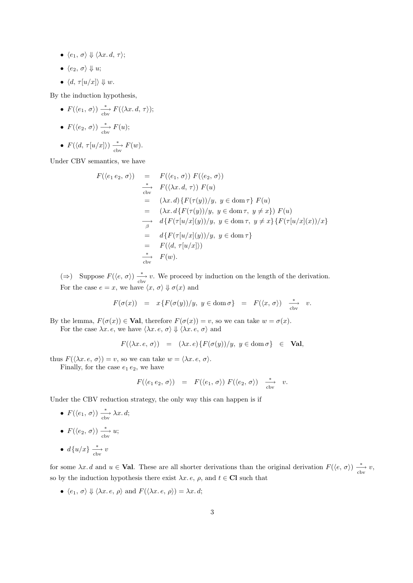- $\langle e_1, \sigma \rangle \Downarrow \langle \lambda x. d, \tau \rangle;$
- $\bullet \langle e_2, \sigma \rangle \Downarrow u;$
- $\langle d, \tau[u/x]\rangle \Downarrow w.$

By the induction hypothesis,

- $F(\langle e_1, \sigma \rangle) \xrightarrow[\text{cbv}]{*} F(\langle \lambda x. d, \tau \rangle);$
- $F(\langle e_2, \sigma \rangle) \xrightarrow[\text{cbv}]{*} F(u);$
- $F(\langle d, \tau[u/x]) \rangle \xrightarrow[\text{cbv}]{*} F(w).$

Under CBV semantics, we have

$$
F(\langle e_1 e_2, \sigma \rangle) = F(\langle e_1, \sigma \rangle) F(\langle e_2, \sigma \rangle)
$$
  
\n
$$
\xrightarrow{\ast} F(\langle \lambda x. d, \tau \rangle) F(u)
$$
  
\n
$$
= (\lambda x. d) \{ F(\tau(y))/y, y \in \text{dom } \tau \} F(u)
$$
  
\n
$$
= (\lambda x. d \{ F(\tau(y))/y, y \in \text{dom } \tau, y \neq x \} ) F(u)
$$
  
\n
$$
\xrightarrow{\beta} d \{ F(\tau[u/x](y))/y, y \in \text{dom } \tau, y \neq x \} \{ F(\tau[u/x](x))/x \}
$$
  
\n
$$
= d \{ F(\tau[u/x](y))/y, y \in \text{dom } \tau \}
$$
  
\n
$$
= F(\langle d, \tau[u/x] \rangle)
$$
  
\n
$$
\xrightarrow{\ast} F(w).
$$

(⇒) Suppose  $F(\langle e, \sigma \rangle) \xrightarrow{\ast}_{\text{cby}} v$ . We proceed by induction on the length of the derivation. For the case  $e = x$ , we have  $\langle x, \sigma \rangle \Downarrow \sigma(x)$  and

$$
F(\sigma(x)) = x \{ F(\sigma(y))/y, y \in \text{dom } \sigma \} = F(\langle x, \sigma \rangle) \xrightarrow{\ast} v.
$$

By the lemma,  $F(\sigma(x)) \in \mathbf{Val}$ , therefore  $F(\sigma(x)) = v$ , so we can take  $w = \sigma(x)$ . For the case  $\lambda x. e$ , we have  $\langle \lambda x. e, \sigma \rangle \Downarrow \langle \lambda x. e, \sigma \rangle$  and

$$
F(\langle \lambda x. e, \sigma \rangle) = (\lambda x. e) \{ F(\sigma(y))/y, y \in \text{dom } \sigma \} \in \textbf{Val},
$$

thus  $F(\langle \lambda x. e, \sigma \rangle) = v$ , so we can take  $w = \langle \lambda x. e, \sigma \rangle$ .

Finally, for the case  $e_1 e_2$ , we have

$$
F(\langle e_1 e_2, \sigma \rangle) = F(\langle e_1, \sigma \rangle) F(\langle e_2, \sigma \rangle) \xrightarrow[\text{cbv}]{*} v.
$$

Under the CBV reduction strategy, the only way this can happen is if

- $F(\langle e_1, \sigma \rangle) \xrightarrow[\text{cbv}]{*} \lambda x. d;$ •  $F(\langle e_2, \sigma \rangle) \xrightarrow[\text{cbv}]{*} u;$
- $d\{u/x\} \xrightarrow[\text{cbv}]{*} v$

for some  $\lambda x. d$  and  $u \in \mathbf{Val}$ . These are all shorter derivations than the original derivation  $F(\langle e, \sigma \rangle) \xrightarrow{\ast} v$ , so by the induction hypothesis there exist  $\lambda x.\, e, \, \rho$ , and  $t \in \mathbb{C} \mathbb{I}$  such that

•  $\langle e_1, \sigma \rangle \Downarrow \langle \lambda x. e, \rho \rangle$  and  $F(\langle \lambda x. e, \rho \rangle) = \lambda x. d;$